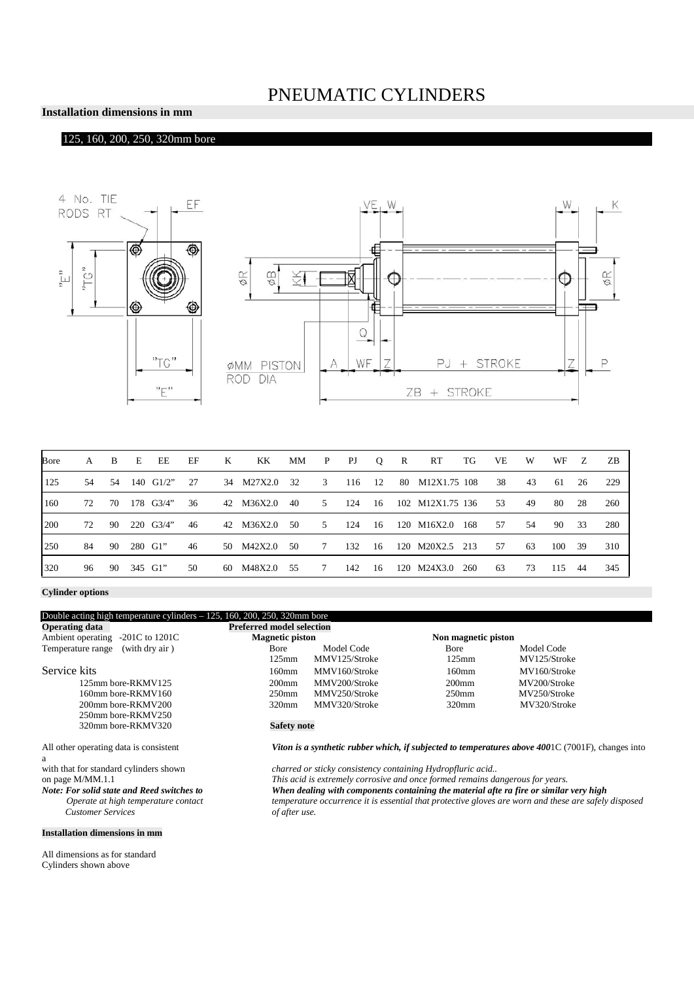## PNEUMATIC CYLINDERS

#### **Installation dimensions in mm**

### 125, 160, 200, 250, 320mm bore





| Bore | A     | B   | E       | EE             | EF  | K | KK            | МM   | $\mathbf{P}$   | PJ  | Q | $\mathbb{R}$ | RT                       | TG    | VE  | W    | WF     | Z   | - ZB |
|------|-------|-----|---------|----------------|-----|---|---------------|------|----------------|-----|---|--------------|--------------------------|-------|-----|------|--------|-----|------|
| 125  | .54   | .54 |         | 140 $\,$ G1/2" | 27  |   | 34 M27X2.0 32 |      | 3              |     |   |              | 116 12 80 M12X1.75 108   |       | 38  | 43   | -61    | 26  | 229  |
| 160  | 72    | 70  |         | 178 G3/4"      | 36  |   | 42 M36X2.0    | 40   | $5 -$          | 124 |   |              | 16 102 M12X1.75 136      |       | 53  | 49   | 80     | 28  | 260  |
| 200  | 72 90 |     |         | $220$ G3/4"    | -46 |   | 42 M36X2.0    | - 50 | 5              |     |   |              | 124 16 120 M16X2.0       | - 168 | .57 | 54   | 90     | 33  | -280 |
| 250  | 84    | 90  | 280 G1" |                | 46  |   | 50 M42X2.0    | - 50 | $7\phantom{0}$ | 132 |   |              | 16 120 M20X2.5 213       |       | .57 | - 63 | 100 39 |     | 310  |
| 320  | 96    | 90  | 345 G1" |                | 50  |   | 60 M48X2.0    | 55   |                |     |   |              | 7 142 16 120 M24X3.0 260 |       | 63  | 73   | 115    | -44 | 345  |

**Cylinder options**

| Double acting high temperature cylinders $-125$ , 160, 200, 250, 320mm bore |                                  |                                                                                                      |                     |              |  |  |  |  |
|-----------------------------------------------------------------------------|----------------------------------|------------------------------------------------------------------------------------------------------|---------------------|--------------|--|--|--|--|
| <b>Operating data</b>                                                       | <b>Preferred model selection</b> |                                                                                                      |                     |              |  |  |  |  |
| Ambient operating<br>$-201C$ to $1201C$                                     | <b>Magnetic piston</b>           |                                                                                                      | Non magnetic piston |              |  |  |  |  |
| (with dry air)<br>Temperature range                                         | Bore                             | Model Code                                                                                           | Bore                | Model Code   |  |  |  |  |
|                                                                             | $125$ mm                         | MMV125/Stroke                                                                                        | $125$ mm            | MV125/Stroke |  |  |  |  |
| Service kits                                                                | $160$ mm                         | MMV160/Stroke                                                                                        | $160 \text{mm}$     | MV160/Stroke |  |  |  |  |
| 125mm bore-RKMV125                                                          | $200$ mm                         | MMV200/Stroke                                                                                        | $200$ mm            | MV200/Stroke |  |  |  |  |
| 160mm bore-RKMV160                                                          | $250$ mm                         | MMV250/Stroke                                                                                        | 250 <sub>mm</sub>   | MV250/Stroke |  |  |  |  |
| 200mm bore-RKMV200                                                          | $320$ mm                         | MMV320/Stroke                                                                                        | $320$ mm            | MV320/Stroke |  |  |  |  |
| 250mm bore-RKMV250                                                          |                                  |                                                                                                      |                     |              |  |  |  |  |
| 320mm bore-RKMV320                                                          | <b>Safety note</b>               |                                                                                                      |                     |              |  |  |  |  |
| All other operating data is consistent                                      |                                  | Viton is a synthetic rubber which, if subjected to temperatures above $4001C(7001F)$ , changes into  |                     |              |  |  |  |  |
| a                                                                           |                                  |                                                                                                      |                     |              |  |  |  |  |
| with that for standard cylinders shown                                      |                                  | charred or sticky consistency containing Hydropfluric acid                                           |                     |              |  |  |  |  |
| on page M/MM.1.1                                                            |                                  | This acid is extremely corrosive and once formed remains dangerous for years.                        |                     |              |  |  |  |  |
| Note: For solid state and Reed switches to                                  |                                  | When dealing with components containing the material afte ra fire or similar very high               |                     |              |  |  |  |  |
| Operate at high temperature contact                                         |                                  | temperature occurrence it is essential that protective gloves are worn and these are safely disposed |                     |              |  |  |  |  |
| <b>Customer Services</b>                                                    | of after use.                    |                                                                                                      |                     |              |  |  |  |  |

All dimensions as for standard Cylinders shown above

**Installation dimensions in mm**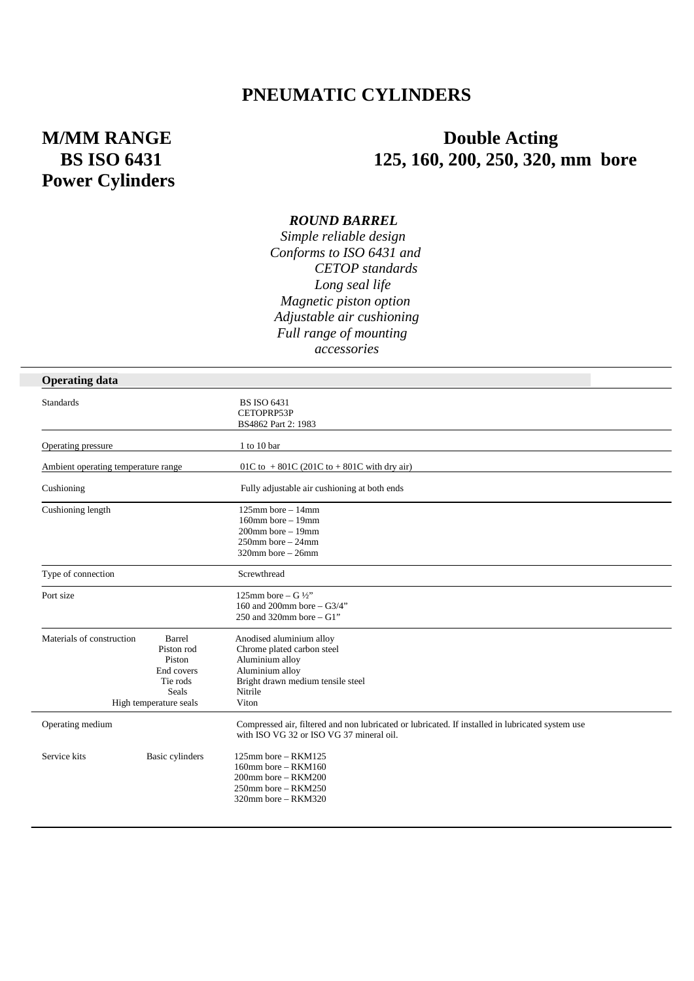## **PNEUMATIC CYLINDERS**

# **Power Cylinders**

# **M/MM RANGE Double Acting BS ISO 6431** 125, 160, 200, 250, 320, mm bore

#### *ROUND BARREL*

 *Simple reliable design Conforms to ISO 6431 and CETOP standards Long seal life Magnetic piston option Adjustable air cushioning Full range of mounting accessories*

| <b>Operating data</b>               |                                                                                                    |                                                                                                                                                       |  |  |  |  |  |
|-------------------------------------|----------------------------------------------------------------------------------------------------|-------------------------------------------------------------------------------------------------------------------------------------------------------|--|--|--|--|--|
| <b>Standards</b>                    |                                                                                                    | <b>BS ISO 6431</b><br>CETOPRP53P<br>BS4862 Part 2: 1983                                                                                               |  |  |  |  |  |
| Operating pressure                  |                                                                                                    | 1 to 10 bar                                                                                                                                           |  |  |  |  |  |
| Ambient operating temperature range |                                                                                                    | 01C to +801C (201C to +801C with dry air)                                                                                                             |  |  |  |  |  |
| Cushioning                          |                                                                                                    | Fully adjustable air cushioning at both ends                                                                                                          |  |  |  |  |  |
| Cushioning length                   |                                                                                                    | $125$ mm bore $-14$ mm<br>$160$ mm bore $-19$ mm<br>$200$ mm bore $-19$ mm<br>$250$ mm bore $-24$ mm<br>$320$ mm bore – $26$ mm                       |  |  |  |  |  |
| Type of connection                  |                                                                                                    | Screwthread                                                                                                                                           |  |  |  |  |  |
| Port size                           |                                                                                                    | 125mm bore – G $\frac{1}{2}$ "<br>160 and 200mm bore $-$ G3/4"<br>250 and 320mm bore $-$ G1"                                                          |  |  |  |  |  |
| Materials of construction           | Barrel<br>Piston rod<br>Piston<br>End covers<br>Tie rods<br><b>Seals</b><br>High temperature seals | Anodised aluminium alloy<br>Chrome plated carbon steel<br>Aluminium alloy<br>Aluminium alloy<br>Bright drawn medium tensile steel<br>Nitrile<br>Viton |  |  |  |  |  |
| Operating medium                    |                                                                                                    | Compressed air, filtered and non lubricated or lubricated. If installed in lubricated system use<br>with ISO VG 32 or ISO VG 37 mineral oil.          |  |  |  |  |  |
| Service kits                        | Basic cylinders                                                                                    | $125$ mm bore – RKM $125$<br>$160$ mm bore – RKM $160$<br>$200$ mm bore – RKM $200$<br>$250$ mm bore – RKM $250$<br>320mm bore - RKM320               |  |  |  |  |  |